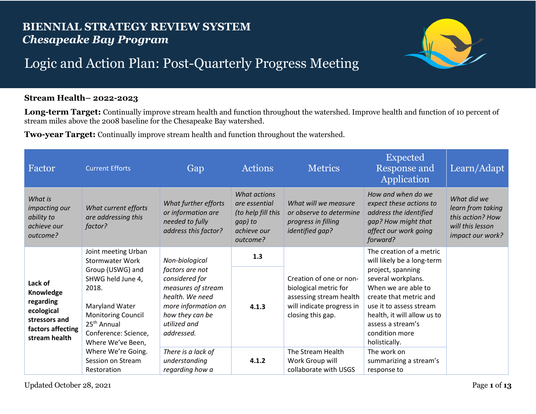## **BIENNIAL STRATEGY REVIEW SYSTEM** *Chesapeake Bay Program*



## Logic and Action Plan: Post-Quarterly Progress Meeting

## **Stream Health– 2022-2023**

Long-term Target: Continually improve stream health and function throughout the watershed. Improve health and function of 10 percent of stream miles above the 2008 baseline for the Chesapeake Bay watershed.

**Two-year Target:** Continually improve stream health and function throughout the watershed.

| Factor                                                                                                 | <b>Current Efforts</b>                                                                                                                                                                                                 | Gap                                                                                                                                                                  | Actions                                                                                   | <b>Metrics</b>                                                                                                                | <b>Expected</b><br><b>Response and</b><br>Application                                                                                                                                                                                                                | Learn/Adapt                                                                                  |
|--------------------------------------------------------------------------------------------------------|------------------------------------------------------------------------------------------------------------------------------------------------------------------------------------------------------------------------|----------------------------------------------------------------------------------------------------------------------------------------------------------------------|-------------------------------------------------------------------------------------------|-------------------------------------------------------------------------------------------------------------------------------|----------------------------------------------------------------------------------------------------------------------------------------------------------------------------------------------------------------------------------------------------------------------|----------------------------------------------------------------------------------------------|
| What is<br>impacting our<br>ability to<br>achieve our<br>outcome?                                      | What current efforts<br>are addressing this<br>factor?                                                                                                                                                                 | What further efforts<br>or information are<br>needed to fully<br>address this factor?                                                                                | What actions<br>are essential<br>(to help fill this<br>gap) to<br>achieve our<br>outcome? | What will we measure<br>or observe to determine<br>progress in filling<br>identified gap?                                     | How and when do we<br>expect these actions to<br>address the identified<br>gap? How might that<br>affect our work going<br>forward?                                                                                                                                  | What did we<br>learn from taking<br>this action? How<br>will this lesson<br>impact our work? |
| Lack of<br>Knowledge<br>regarding<br>ecological<br>stressors and<br>factors affecting<br>stream health | Joint meeting Urban<br><b>Stormwater Work</b><br>Group (USWG) and<br>SHWG held June 4,<br>2018.<br>Maryland Water<br><b>Monitoring Council</b><br>25 <sup>th</sup> Annual<br>Conference: Science,<br>Where We've Been, | Non-biological<br>factors are not<br>considered for<br>measures of stream<br>health. We need<br>more information on<br>how they can be<br>utilized and<br>addressed. | 1.3<br>4.1.3                                                                              | Creation of one or non-<br>biological metric for<br>assessing stream health<br>will indicate progress in<br>closing this gap. | The creation of a metric<br>will likely be a long-term<br>project, spanning<br>several workplans.<br>When we are able to<br>create that metric and<br>use it to assess stream<br>health, it will allow us to<br>assess a stream's<br>condition more<br>holistically. |                                                                                              |
|                                                                                                        | Where We're Going.<br>Session on Stream<br>Restoration                                                                                                                                                                 | There is a lack of<br>understanding<br>regarding how a                                                                                                               | 4.1.2                                                                                     | The Stream Health<br>Work Group will<br>collaborate with USGS                                                                 | The work on<br>summarizing a stream's<br>response to                                                                                                                                                                                                                 |                                                                                              |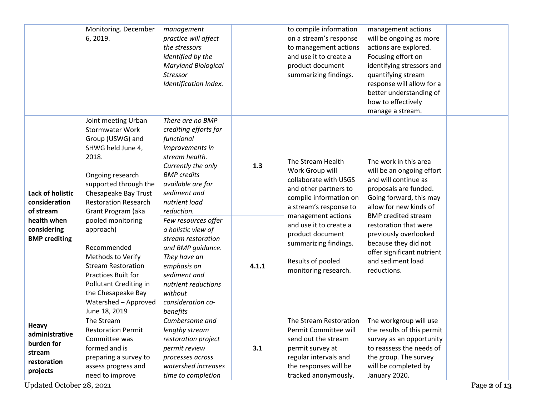|                                                                                   | Monitoring. December<br>6, 2019.                                                                                                                                                                                          | management<br>practice will affect<br>the stressors<br>identified by the<br><b>Maryland Biological</b><br><b>Stressor</b><br>Identification Index.                                                           |       | to compile information<br>on a stream's response<br>to management actions<br>and use it to create a<br>product document<br>summarizing findings.                     | management actions<br>will be ongoing as more<br>actions are explored.<br>Focusing effort on<br>identifying stressors and<br>quantifying stream<br>response will allow for a<br>better understanding of<br>how to effectively<br>manage a stream. |  |
|-----------------------------------------------------------------------------------|---------------------------------------------------------------------------------------------------------------------------------------------------------------------------------------------------------------------------|--------------------------------------------------------------------------------------------------------------------------------------------------------------------------------------------------------------|-------|----------------------------------------------------------------------------------------------------------------------------------------------------------------------|---------------------------------------------------------------------------------------------------------------------------------------------------------------------------------------------------------------------------------------------------|--|
| <b>Lack of holistic</b><br>consideration<br>of stream                             | Joint meeting Urban<br><b>Stormwater Work</b><br>Group (USWG) and<br>SHWG held June 4,<br>2018.<br>Ongoing research<br>supported through the<br>Chesapeake Bay Trust<br><b>Restoration Research</b><br>Grant Program (aka | There are no BMP<br>crediting efforts for<br>functional<br>improvements in<br>stream health.<br>Currently the only<br><b>BMP</b> credits<br>available are for<br>sediment and<br>nutrient load<br>reduction. | 1.3   | The Stream Health<br>Work Group will<br>collaborate with USGS<br>and other partners to<br>compile information on<br>a stream's response to                           | The work in this area<br>will be an ongoing effort<br>and will continue as<br>proposals are funded.<br>Going forward, this may<br>allow for new kinds of                                                                                          |  |
| health when<br>considering<br><b>BMP</b> crediting                                | pooled monitoring<br>approach)<br>Recommended<br>Methods to Verify<br><b>Stream Restoration</b><br><b>Practices Built for</b><br>Pollutant Crediting in<br>the Chesapeake Bay<br>Watershed - Approved<br>June 18, 2019    | Few resources offer<br>a holistic view of<br>stream restoration<br>and BMP guidance.<br>They have an<br>emphasis on<br>sediment and<br>nutrient reductions<br>without<br>consideration co-<br>benefits       | 4.1.1 | management actions<br>and use it to create a<br>product document<br>summarizing findings.<br>Results of pooled<br>monitoring research.                               | <b>BMP</b> credited stream<br>restoration that were<br>previously overlooked<br>because they did not<br>offer significant nutrient<br>and sediment load<br>reductions.                                                                            |  |
| <b>Heavy</b><br>administrative<br>burden for<br>stream<br>restoration<br>projects | The Stream<br><b>Restoration Permit</b><br>Committee was<br>formed and is<br>preparing a survey to<br>assess progress and<br>need to improve                                                                              | Cumbersome and<br>lengthy stream<br>restoration project<br>permit review<br>processes across<br>watershed increases<br>time to completion                                                                    | 3.1   | The Stream Restoration<br>Permit Committee will<br>send out the stream<br>permit survey at<br>regular intervals and<br>the responses will be<br>tracked anonymously. | The workgroup will use<br>the results of this permit<br>survey as an opportunity<br>to reassess the needs of<br>the group. The survey<br>will be completed by<br>January 2020.                                                                    |  |

Updated October 28, 2021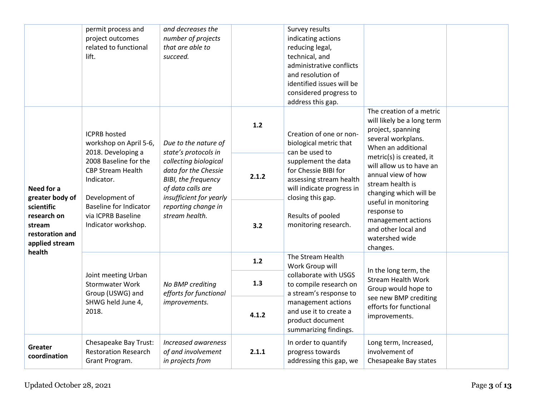|                                                                          | permit process and<br>project outcomes<br>related to functional<br>lift.                                                                                        | and decreases the<br>number of projects<br>that are able to<br>succeed.                                                                                       |       | Survey results<br>indicating actions<br>reducing legal,<br>technical, and<br>administrative conflicts<br>and resolution of<br>identified issues will be<br>considered progress to<br>address this gap. |                                                                                                                          |  |
|--------------------------------------------------------------------------|-----------------------------------------------------------------------------------------------------------------------------------------------------------------|---------------------------------------------------------------------------------------------------------------------------------------------------------------|-------|--------------------------------------------------------------------------------------------------------------------------------------------------------------------------------------------------------|--------------------------------------------------------------------------------------------------------------------------|--|
|                                                                          | <b>ICPRB</b> hosted<br>workshop on April 5-6,<br>2018. Developing a                                                                                             | Due to the nature of<br>state's protocols in                                                                                                                  | 1.2   | Creation of one or non-<br>biological metric that<br>can be used to                                                                                                                                    | The creation of a metric<br>will likely be a long term<br>project, spanning<br>several workplans.<br>When an additional  |  |
| Need for a<br>greater body of                                            | 2008 Baseline for the<br><b>CBP Stream Health</b><br>Indicator.<br>Development of<br><b>Baseline for Indicator</b><br>via ICPRB Baseline<br>Indicator workshop. | collecting biological<br>data for the Chessie<br>BIBI, the frequency<br>of data calls are<br>insufficient for yearly<br>reporting change in<br>stream health. | 2.1.2 | supplement the data<br>for Chessie BIBI for<br>assessing stream health<br>will indicate progress in<br>closing this gap.<br>Results of pooled<br>monitoring research.                                  | metric(s) is created, it<br>will allow us to have an<br>annual view of how<br>stream health is<br>changing which will be |  |
| scientific<br>research on<br>stream<br>restoration and<br>applied stream |                                                                                                                                                                 |                                                                                                                                                               | 3.2   |                                                                                                                                                                                                        | useful in monitoring<br>response to<br>management actions<br>and other local and<br>watershed wide<br>changes.           |  |
| health                                                                   |                                                                                                                                                                 |                                                                                                                                                               | 1.2   | The Stream Health<br>Work Group will                                                                                                                                                                   |                                                                                                                          |  |
|                                                                          | Joint meeting Urban<br><b>Stormwater Work</b><br>Group (USWG) and                                                                                               | No BMP crediting<br>efforts for functional                                                                                                                    | 1.3   | collaborate with USGS<br>to compile research on<br>a stream's response to                                                                                                                              | In the long term, the<br><b>Stream Health Work</b><br>Group would hope to                                                |  |
|                                                                          | SHWG held June 4,<br>2018.                                                                                                                                      | improvements.                                                                                                                                                 | 4.1.2 | management actions<br>and use it to create a<br>product document<br>summarizing findings.                                                                                                              | see new BMP crediting<br>efforts for functional<br>improvements.                                                         |  |
| Greater<br>coordination                                                  | Chesapeake Bay Trust:<br><b>Restoration Research</b><br>Grant Program.                                                                                          | Increased awareness<br>of and involvement<br>in projects from                                                                                                 | 2.1.1 | In order to quantify<br>progress towards<br>addressing this gap, we                                                                                                                                    | Long term, Increased,<br>involvement of<br>Chesapeake Bay states                                                         |  |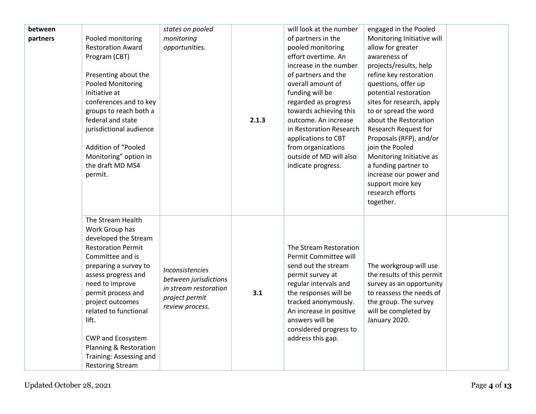| between<br>partners | Pooled monitoring<br><b>Restoration Award</b><br>Program (CBT)<br>Presenting about the<br><b>Pooled Monitoring</b><br>Initiative at<br>conferences and to key<br>groups to reach both a<br>federal and state<br>jurisdictional audience<br>Addition of "Pooled<br>Monitoring" option in<br>the draft MD MS4<br>permit.                                                  | states on pooled<br>monitoring<br>opportunities.                                                       | 2.1.3 | will look at the number<br>of partners in the<br>pooled monitoring<br>effort overtime. An<br>increase in the number<br>of partners and the<br>overall amount of<br>funding will be<br>regarded as progress<br>towards achieving this<br>outcome. An increase<br>in Restoration Research<br>applications to CBT<br>from organizations<br>outside of MD will also<br>indicate progress. | engaged in the Pooled<br>Monitoring Initiative will<br>allow for greater<br>awareness of<br>projects/results, help<br>refine key restoration<br>questions, offer up<br>potential restoration<br>sites for research, apply<br>to or spread the word<br>about the Restoration<br>Research Request for<br>Proposals (RFP), and/or<br>join the Pooled<br>Monitoring Initiative as<br>a funding partner to<br>increase our power and<br>support more key<br>research efforts<br>together. |  |
|---------------------|-------------------------------------------------------------------------------------------------------------------------------------------------------------------------------------------------------------------------------------------------------------------------------------------------------------------------------------------------------------------------|--------------------------------------------------------------------------------------------------------|-------|---------------------------------------------------------------------------------------------------------------------------------------------------------------------------------------------------------------------------------------------------------------------------------------------------------------------------------------------------------------------------------------|--------------------------------------------------------------------------------------------------------------------------------------------------------------------------------------------------------------------------------------------------------------------------------------------------------------------------------------------------------------------------------------------------------------------------------------------------------------------------------------|--|
|                     | The Stream Health<br>Work Group has<br>developed the Stream<br><b>Restoration Permit</b><br>Committee and is<br>preparing a survey to<br>assess progress and<br>need to improve<br>permit process and<br>project outcomes<br>related to functional<br>lift.<br><b>CWP and Ecosystem</b><br>Planning & Restoration<br>Training: Assessing and<br><b>Restoring Stream</b> | Inconsistencies<br>between jurisdictions<br>in stream restoration<br>project permit<br>review process. | 3.1   | The Stream Restoration<br>Permit Committee will<br>send out the stream<br>permit survey at<br>regular intervals and<br>the responses will be<br>tracked anonymously.<br>An increase in positive<br>answers will be<br>considered progress to<br>address this gap.                                                                                                                     | The workgroup will use<br>the results of this permit<br>survey as an opportunity<br>to reassess the needs of<br>the group. The survey<br>will be completed by<br>January 2020.                                                                                                                                                                                                                                                                                                       |  |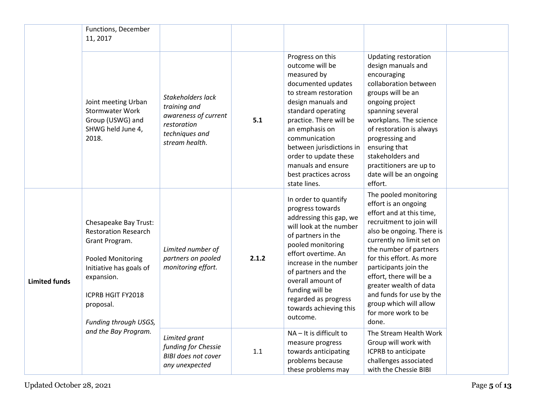|                      | Functions, December<br>11, 2017                                                                                                                                                                        |                                                                                                              |       |                                                                                                                                                                                                                                                                                                                                 |                                                                                                                                                                                                                                                                                                                                                                                           |  |
|----------------------|--------------------------------------------------------------------------------------------------------------------------------------------------------------------------------------------------------|--------------------------------------------------------------------------------------------------------------|-------|---------------------------------------------------------------------------------------------------------------------------------------------------------------------------------------------------------------------------------------------------------------------------------------------------------------------------------|-------------------------------------------------------------------------------------------------------------------------------------------------------------------------------------------------------------------------------------------------------------------------------------------------------------------------------------------------------------------------------------------|--|
|                      | Joint meeting Urban<br><b>Stormwater Work</b><br>Group (USWG) and<br>SHWG held June 4,<br>2018.                                                                                                        | Stakeholders lack<br>training and<br>awareness of current<br>restoration<br>techniques and<br>stream health. | 5.1   | Progress on this<br>outcome will be<br>measured by<br>documented updates<br>to stream restoration<br>design manuals and<br>standard operating<br>practice. There will be<br>an emphasis on<br>communication<br>between jurisdictions in<br>order to update these<br>manuals and ensure<br>best practices across<br>state lines. | <b>Updating restoration</b><br>design manuals and<br>encouraging<br>collaboration between<br>groups will be an<br>ongoing project<br>spanning several<br>workplans. The science<br>of restoration is always<br>progressing and<br>ensuring that<br>stakeholders and<br>practitioners are up to<br>date will be an ongoing<br>effort.                                                      |  |
| <b>Limited funds</b> | Chesapeake Bay Trust:<br><b>Restoration Research</b><br>Grant Program.<br><b>Pooled Monitoring</b><br>Initiative has goals of<br>expansion.<br>ICPRB HGIT FY2018<br>proposal.<br>Funding through USGS, | Limited number of<br>partners on pooled<br>monitoring effort.                                                | 2.1.2 | In order to quantify<br>progress towards<br>addressing this gap, we<br>will look at the number<br>of partners in the<br>pooled monitoring<br>effort overtime. An<br>increase in the number<br>of partners and the<br>overall amount of<br>funding will be<br>regarded as progress<br>towards achieving this<br>outcome.         | The pooled monitoring<br>effort is an ongoing<br>effort and at this time,<br>recruitment to join will<br>also be ongoing. There is<br>currently no limit set on<br>the number of partners<br>for this effort. As more<br>participants join the<br>effort, there will be a<br>greater wealth of data<br>and funds for use by the<br>group which will allow<br>for more work to be<br>done. |  |
|                      | and the Bay Program.                                                                                                                                                                                   | Limited grant<br>funding for Chessie<br><b>BIBI does not cover</b><br>any unexpected                         | 1.1   | NA - It is difficult to<br>measure progress<br>towards anticipating<br>problems because<br>these problems may                                                                                                                                                                                                                   | The Stream Health Work<br>Group will work with<br>ICPRB to anticipate<br>challenges associated<br>with the Chessie BIBI                                                                                                                                                                                                                                                                   |  |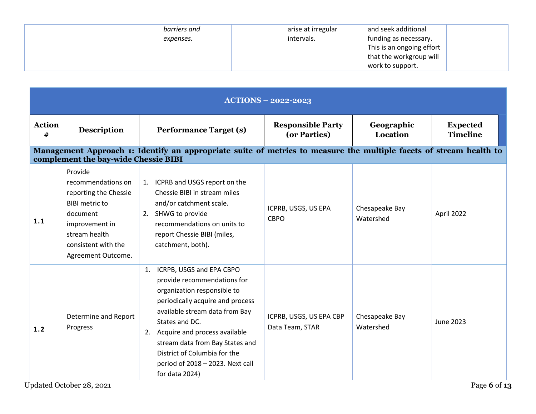| barriers and | arise at irregular | and seek additional       |  |
|--------------|--------------------|---------------------------|--|
| expenses.    | intervals.         | funding as necessary.     |  |
|              |                    | This is an ongoing effort |  |
|              |                    | that the workgroup will   |  |
|              |                    | work to support.          |  |

| $ACTI\overline{ONS} - 2022-2023$ |                                                                                                                                                                             |                                                                                                                                                                                                                                                                                                                                                      |                                            |                             |                                    |  |
|----------------------------------|-----------------------------------------------------------------------------------------------------------------------------------------------------------------------------|------------------------------------------------------------------------------------------------------------------------------------------------------------------------------------------------------------------------------------------------------------------------------------------------------------------------------------------------------|--------------------------------------------|-----------------------------|------------------------------------|--|
| <b>Action</b><br>#               | <b>Description</b>                                                                                                                                                          | <b>Performance Target (s)</b>                                                                                                                                                                                                                                                                                                                        | <b>Responsible Party</b><br>(or Parties)   | Geographic<br>Location      | <b>Expected</b><br><b>Timeline</b> |  |
|                                  | complement the bay-wide Chessie BIBI                                                                                                                                        | Management Approach 1: Identify an appropriate suite of metrics to measure the multiple facets of stream health to                                                                                                                                                                                                                                   |                                            |                             |                                    |  |
| 1.1                              | Provide<br>recommendations on<br>reporting the Chessie<br><b>BIBI</b> metric to<br>document<br>improvement in<br>stream health<br>consistent with the<br>Agreement Outcome. | 1. ICPRB and USGS report on the<br>Chessie BIBI in stream miles<br>and/or catchment scale.<br>2. SHWG to provide<br>recommendations on units to<br>report Chessie BIBI (miles,<br>catchment, both).                                                                                                                                                  | ICPRB, USGS, US EPA<br><b>CBPO</b>         | Chesapeake Bay<br>Watershed | April 2022                         |  |
| 1.2                              | Determine and Report<br>Progress                                                                                                                                            | ICRPB, USGS and EPA CBPO<br>1.<br>provide recommendations for<br>organization responsible to<br>periodically acquire and process<br>available stream data from Bay<br>States and DC.<br>Acquire and process available<br>2.<br>stream data from Bay States and<br>District of Columbia for the<br>period of 2018 - 2023. Next call<br>for data 2024) | ICPRB, USGS, US EPA CBP<br>Data Team, STAR | Chesapeake Bay<br>Watershed | <b>June 2023</b>                   |  |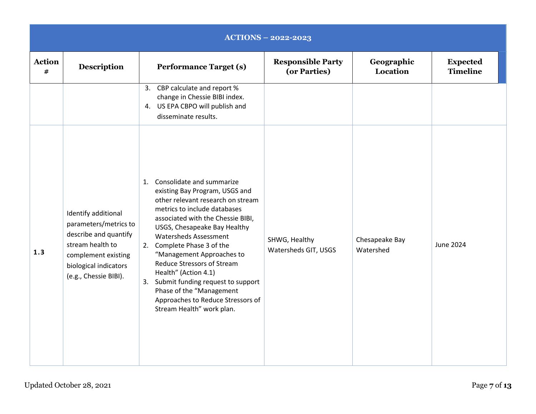|                    | <b>ACTIONS - 2022-2023</b>                                                                                                                                         |                                                                                                                                                                                                                                                                                                                                                                                                                                                                                                        |                                          |                             |                                    |  |  |  |
|--------------------|--------------------------------------------------------------------------------------------------------------------------------------------------------------------|--------------------------------------------------------------------------------------------------------------------------------------------------------------------------------------------------------------------------------------------------------------------------------------------------------------------------------------------------------------------------------------------------------------------------------------------------------------------------------------------------------|------------------------------------------|-----------------------------|------------------------------------|--|--|--|
| <b>Action</b><br># | <b>Description</b>                                                                                                                                                 | <b>Performance Target (s)</b>                                                                                                                                                                                                                                                                                                                                                                                                                                                                          | <b>Responsible Party</b><br>(or Parties) | Geographic<br>Location      | <b>Expected</b><br><b>Timeline</b> |  |  |  |
|                    |                                                                                                                                                                    | 3. CBP calculate and report %<br>change in Chessie BIBI index.<br>4. US EPA CBPO will publish and<br>disseminate results.                                                                                                                                                                                                                                                                                                                                                                              |                                          |                             |                                    |  |  |  |
| 1.3                | Identify additional<br>parameters/metrics to<br>describe and quantify<br>stream health to<br>complement existing<br>biological indicators<br>(e.g., Chessie BIBI). | 1. Consolidate and summarize<br>existing Bay Program, USGS and<br>other relevant research on stream<br>metrics to include databases<br>associated with the Chessie BIBI,<br>USGS, Chesapeake Bay Healthy<br><b>Watersheds Assessment</b><br>2. Complete Phase 3 of the<br>"Management Approaches to<br><b>Reduce Stressors of Stream</b><br>Health" (Action 4.1)<br>3. Submit funding request to support<br>Phase of the "Management<br>Approaches to Reduce Stressors of<br>Stream Health" work plan. | SHWG, Healthy<br>Watersheds GIT, USGS    | Chesapeake Bay<br>Watershed | June 2024                          |  |  |  |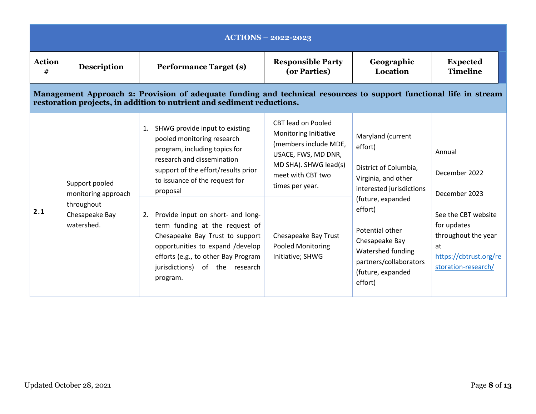|                    |                                                                                     |                                                                                                                                                                                                                                                                                                                                                                                                                                                              | $ACTIONS - 2022 - 2023$                                                                                                                                                                                                              |                                                                                                                                                                                                                                                              |                                                                                                                                                              |
|--------------------|-------------------------------------------------------------------------------------|--------------------------------------------------------------------------------------------------------------------------------------------------------------------------------------------------------------------------------------------------------------------------------------------------------------------------------------------------------------------------------------------------------------------------------------------------------------|--------------------------------------------------------------------------------------------------------------------------------------------------------------------------------------------------------------------------------------|--------------------------------------------------------------------------------------------------------------------------------------------------------------------------------------------------------------------------------------------------------------|--------------------------------------------------------------------------------------------------------------------------------------------------------------|
| <b>Action</b><br># | <b>Description</b>                                                                  | <b>Performance Target (s)</b>                                                                                                                                                                                                                                                                                                                                                                                                                                | <b>Responsible Party</b><br>(or Parties)                                                                                                                                                                                             | Geographic<br>Location                                                                                                                                                                                                                                       | <b>Expected</b><br><b>Timeline</b>                                                                                                                           |
|                    |                                                                                     | Management Approach 2: Provision of adequate funding and technical resources to support functional life in stream<br>restoration projects, in addition to nutrient and sediment reductions.                                                                                                                                                                                                                                                                  |                                                                                                                                                                                                                                      |                                                                                                                                                                                                                                                              |                                                                                                                                                              |
| 2.1                | Support pooled<br>monitoring approach<br>throughout<br>Chesapeake Bay<br>watershed. | SHWG provide input to existing<br>1.<br>pooled monitoring research<br>program, including topics for<br>research and dissemination<br>support of the effort/results prior<br>to issuance of the request for<br>proposal<br>2. Provide input on short- and long-<br>term funding at the request of<br>Chesapeake Bay Trust to support<br>opportunities to expand /develop<br>efforts (e.g., to other Bay Program<br>jurisdictions) of the research<br>program. | CBT lead on Pooled<br>Monitoring Initiative<br>(members include MDE,<br>USACE, FWS, MD DNR,<br>MD SHA). SHWG lead(s)<br>meet with CBT two<br>times per year.<br>Chesapeake Bay Trust<br><b>Pooled Monitoring</b><br>Initiative; SHWG | Maryland (current<br>effort)<br>District of Columbia,<br>Virginia, and other<br>interested jurisdictions<br>(future, expanded<br>effort)<br>Potential other<br>Chesapeake Bay<br>Watershed funding<br>partners/collaborators<br>(future, expanded<br>effort) | Annual<br>December 2022<br>December 2023<br>See the CBT website<br>for updates<br>throughout the year<br>at<br>https://cbtrust.org/re<br>storation-research/ |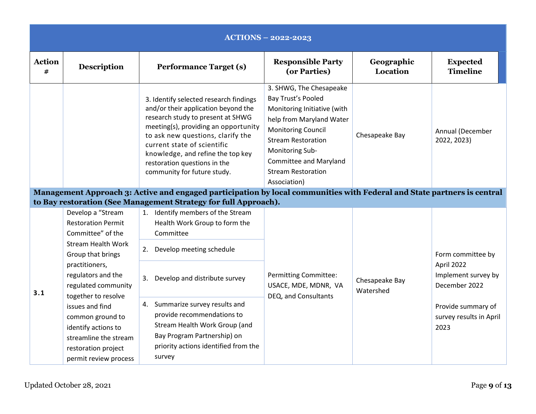|                    |                                                                                                                                                                                                         |                                                                                                                                                                                                                                                                                                                                                                                                                                                               | <b>ACTIONS - 2022-2023</b>                                                                                                                                                                                                                                          |                               |                                                                                               |
|--------------------|---------------------------------------------------------------------------------------------------------------------------------------------------------------------------------------------------------|---------------------------------------------------------------------------------------------------------------------------------------------------------------------------------------------------------------------------------------------------------------------------------------------------------------------------------------------------------------------------------------------------------------------------------------------------------------|---------------------------------------------------------------------------------------------------------------------------------------------------------------------------------------------------------------------------------------------------------------------|-------------------------------|-----------------------------------------------------------------------------------------------|
| <b>Action</b><br># | <b>Description</b>                                                                                                                                                                                      | <b>Performance Target (s)</b>                                                                                                                                                                                                                                                                                                                                                                                                                                 | <b>Responsible Party</b><br>(or Parties)                                                                                                                                                                                                                            | Geographic<br><b>Location</b> | <b>Expected</b><br><b>Timeline</b>                                                            |
|                    |                                                                                                                                                                                                         | 3. Identify selected research findings<br>and/or their application beyond the<br>research study to present at SHWG<br>meeting(s), providing an opportunity<br>to ask new questions, clarify the<br>current state of scientific<br>knowledge, and refine the top key<br>restoration questions in the<br>community for future study.<br>Management Approach 3: Active and engaged participation by local communities with Federal and State partners is central | 3. SHWG, The Chesapeake<br>Bay Trust's Pooled<br>Monitoring Initiative (with<br>help from Maryland Water<br><b>Monitoring Council</b><br><b>Stream Restoration</b><br>Monitoring Sub-<br><b>Committee and Maryland</b><br><b>Stream Restoration</b><br>Association) | Chesapeake Bay                | Annual (December<br>2022, 2023)                                                               |
|                    |                                                                                                                                                                                                         | to Bay restoration (See Management Strategy for full Approach).                                                                                                                                                                                                                                                                                                                                                                                               |                                                                                                                                                                                                                                                                     |                               |                                                                                               |
|                    | Develop a "Stream<br><b>Restoration Permit</b><br>Committee" of the<br><b>Stream Health Work</b><br>Group that brings<br>practitioners,                                                                 | 1. Identify members of the Stream<br>Health Work Group to form the<br>Committee<br>2. Develop meeting schedule                                                                                                                                                                                                                                                                                                                                                |                                                                                                                                                                                                                                                                     |                               | Form committee by<br>April 2022                                                               |
| 3.1                | regulators and the<br>regulated community<br>together to resolve<br>issues and find<br>common ground to<br>identify actions to<br>streamline the stream<br>restoration project<br>permit review process | 3. Develop and distribute survey<br>4. Summarize survey results and<br>provide recommendations to<br>Stream Health Work Group (and<br>Bay Program Partnership) on<br>priority actions identified from the<br>survey                                                                                                                                                                                                                                           | <b>Permitting Committee:</b><br>USACE, MDE, MDNR, VA<br>DEQ, and Consultants                                                                                                                                                                                        | Chesapeake Bay<br>Watershed   | Implement survey by<br>December 2022<br>Provide summary of<br>survey results in April<br>2023 |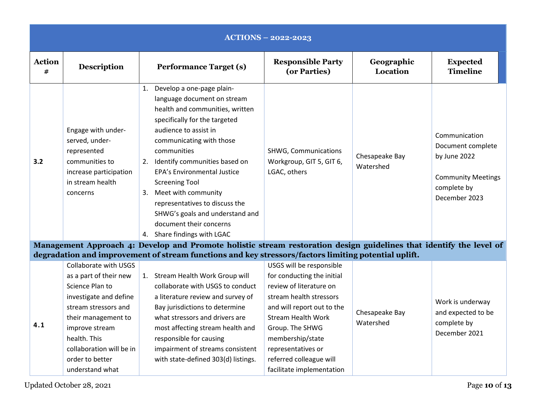|                    |                                                                                                                                                                                                                                                 |                                                                                                                                                                                                                                                                                                                                                                                                                                                                 | <b>ACTIONS - 2022-2023</b>                                                                                                                                                                                                                                                                   |                             |                                                                                                                 |
|--------------------|-------------------------------------------------------------------------------------------------------------------------------------------------------------------------------------------------------------------------------------------------|-----------------------------------------------------------------------------------------------------------------------------------------------------------------------------------------------------------------------------------------------------------------------------------------------------------------------------------------------------------------------------------------------------------------------------------------------------------------|----------------------------------------------------------------------------------------------------------------------------------------------------------------------------------------------------------------------------------------------------------------------------------------------|-----------------------------|-----------------------------------------------------------------------------------------------------------------|
| <b>Action</b><br># | <b>Description</b>                                                                                                                                                                                                                              | <b>Performance Target (s)</b>                                                                                                                                                                                                                                                                                                                                                                                                                                   | <b>Responsible Party</b><br>(or Parties)                                                                                                                                                                                                                                                     | Geographic<br>Location      | <b>Expected</b><br><b>Timeline</b>                                                                              |
| 3.2                | Engage with under-<br>served, under-<br>represented<br>communities to<br>increase participation<br>in stream health<br>concerns                                                                                                                 | 1. Develop a one-page plain-<br>language document on stream<br>health and communities, written<br>specifically for the targeted<br>audience to assist in<br>communicating with those<br>communities<br>2. Identify communities based on<br><b>EPA's Environmental Justice</b><br><b>Screening Tool</b><br>3. Meet with community<br>representatives to discuss the<br>SHWG's goals and understand and<br>document their concerns<br>4. Share findings with LGAC | <b>SHWG, Communications</b><br>Workgroup, GIT 5, GIT 6,<br>LGAC, others                                                                                                                                                                                                                      | Chesapeake Bay<br>Watershed | Communication<br>Document complete<br>by June 2022<br><b>Community Meetings</b><br>complete by<br>December 2023 |
|                    |                                                                                                                                                                                                                                                 | Management Approach 4: Develop and Promote holistic stream restoration design guidelines that identify the level of                                                                                                                                                                                                                                                                                                                                             |                                                                                                                                                                                                                                                                                              |                             |                                                                                                                 |
|                    |                                                                                                                                                                                                                                                 | degradation and improvement of stream functions and key stressors/factors limiting potential uplift.                                                                                                                                                                                                                                                                                                                                                            |                                                                                                                                                                                                                                                                                              |                             |                                                                                                                 |
| 4.1                | Collaborate with USGS<br>as a part of their new<br>Science Plan to<br>investigate and define<br>stream stressors and<br>their management to<br>improve stream<br>health. This<br>collaboration will be in<br>order to better<br>understand what | 1. Stream Health Work Group will<br>collaborate with USGS to conduct<br>a literature review and survey of<br>Bay jurisdictions to determine<br>what stressors and drivers are<br>most affecting stream health and<br>responsible for causing<br>impairment of streams consistent<br>with state-defined 303(d) listings.                                                                                                                                         | USGS will be responsible<br>for conducting the initial<br>review of literature on<br>stream health stressors<br>and will report out to the<br><b>Stream Health Work</b><br>Group. The SHWG<br>membership/state<br>representatives or<br>referred colleague will<br>facilitate implementation | Chesapeake Bay<br>Watershed | Work is underway<br>and expected to be<br>complete by<br>December 2021                                          |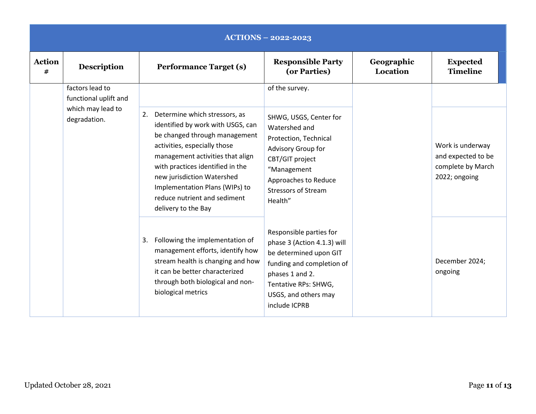|                    | $ACTIONS - 2022 - 2023$                  |                                                                                                                                                                                                                                                                                                                                          |                                                                                                                                                                                                   |                        |                                                                              |  |  |
|--------------------|------------------------------------------|------------------------------------------------------------------------------------------------------------------------------------------------------------------------------------------------------------------------------------------------------------------------------------------------------------------------------------------|---------------------------------------------------------------------------------------------------------------------------------------------------------------------------------------------------|------------------------|------------------------------------------------------------------------------|--|--|
| <b>Action</b><br># | <b>Description</b>                       | <b>Performance Target (s)</b>                                                                                                                                                                                                                                                                                                            | <b>Responsible Party</b><br>(or Parties)                                                                                                                                                          | Geographic<br>Location | <b>Expected</b><br><b>Timeline</b>                                           |  |  |
|                    | factors lead to<br>functional uplift and |                                                                                                                                                                                                                                                                                                                                          | of the survey.                                                                                                                                                                                    |                        |                                                                              |  |  |
|                    | which may lead to<br>degradation.        | Determine which stressors, as<br>2.<br>identified by work with USGS, can<br>be changed through management<br>activities, especially those<br>management activities that align<br>with practices identified in the<br>new jurisdiction Watershed<br>Implementation Plans (WIPs) to<br>reduce nutrient and sediment<br>delivery to the Bay | SHWG, USGS, Center for<br>Watershed and<br>Protection, Technical<br>Advisory Group for<br>CBT/GIT project<br>"Management<br>Approaches to Reduce<br><b>Stressors of Stream</b><br>Health"         |                        | Work is underway<br>and expected to be<br>complete by March<br>2022; ongoing |  |  |
|                    |                                          | Following the implementation of<br>3.<br>management efforts, identify how<br>stream health is changing and how<br>it can be better characterized<br>through both biological and non-<br>biological metrics                                                                                                                               | Responsible parties for<br>phase 3 (Action 4.1.3) will<br>be determined upon GIT<br>funding and completion of<br>phases 1 and 2.<br>Tentative RPs: SHWG,<br>USGS, and others may<br>include ICPRB |                        | December 2024;<br>ongoing                                                    |  |  |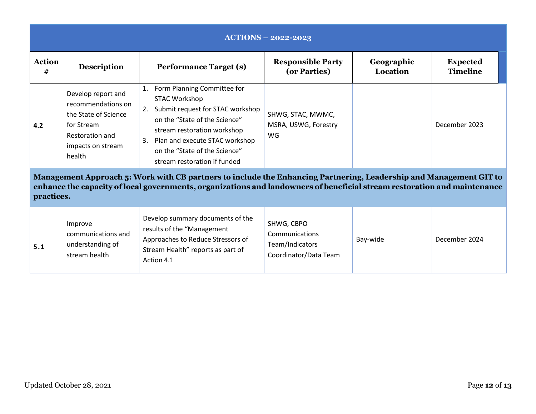| <b>ACTIONS - 2022-2023</b>                                                                                                                                                                                                                                   |                                                                                                                                  |                                                                                                                                                                                                                                                                              |                                                                          |                        |                                    |  |  |  |
|--------------------------------------------------------------------------------------------------------------------------------------------------------------------------------------------------------------------------------------------------------------|----------------------------------------------------------------------------------------------------------------------------------|------------------------------------------------------------------------------------------------------------------------------------------------------------------------------------------------------------------------------------------------------------------------------|--------------------------------------------------------------------------|------------------------|------------------------------------|--|--|--|
| <b>Action</b><br>#                                                                                                                                                                                                                                           | <b>Description</b>                                                                                                               | <b>Performance Target (s)</b>                                                                                                                                                                                                                                                | <b>Responsible Party</b><br>(or Parties)                                 | Geographic<br>Location | <b>Expected</b><br><b>Timeline</b> |  |  |  |
| 4.2                                                                                                                                                                                                                                                          | Develop report and<br>recommendations on<br>the State of Science<br>for Stream<br>Restoration and<br>impacts on stream<br>health | Form Planning Committee for<br>1.<br><b>STAC Workshop</b><br>Submit request for STAC workshop<br>2.<br>on the "State of the Science"<br>stream restoration workshop<br>Plan and execute STAC workshop<br>3.<br>on the "State of the Science"<br>stream restoration if funded | SHWG, STAC, MWMC,<br>MSRA, USWG, Forestry<br><b>WG</b>                   |                        | December 2023                      |  |  |  |
| Management Approach 5: Work with CB partners to include the Enhancing Partnering, Leadership and Management GIT to<br>enhance the capacity of local governments, organizations and landowners of beneficial stream restoration and maintenance<br>practices. |                                                                                                                                  |                                                                                                                                                                                                                                                                              |                                                                          |                        |                                    |  |  |  |
| 5.1                                                                                                                                                                                                                                                          | Improve<br>communications and<br>understanding of<br>stream health                                                               | Develop summary documents of the<br>results of the "Management<br>Approaches to Reduce Stressors of<br>Stream Health" reports as part of<br>Action 4.1                                                                                                                       | SHWG, CBPO<br>Communications<br>Team/Indicators<br>Coordinator/Data Team | Bay-wide               | December 2024                      |  |  |  |